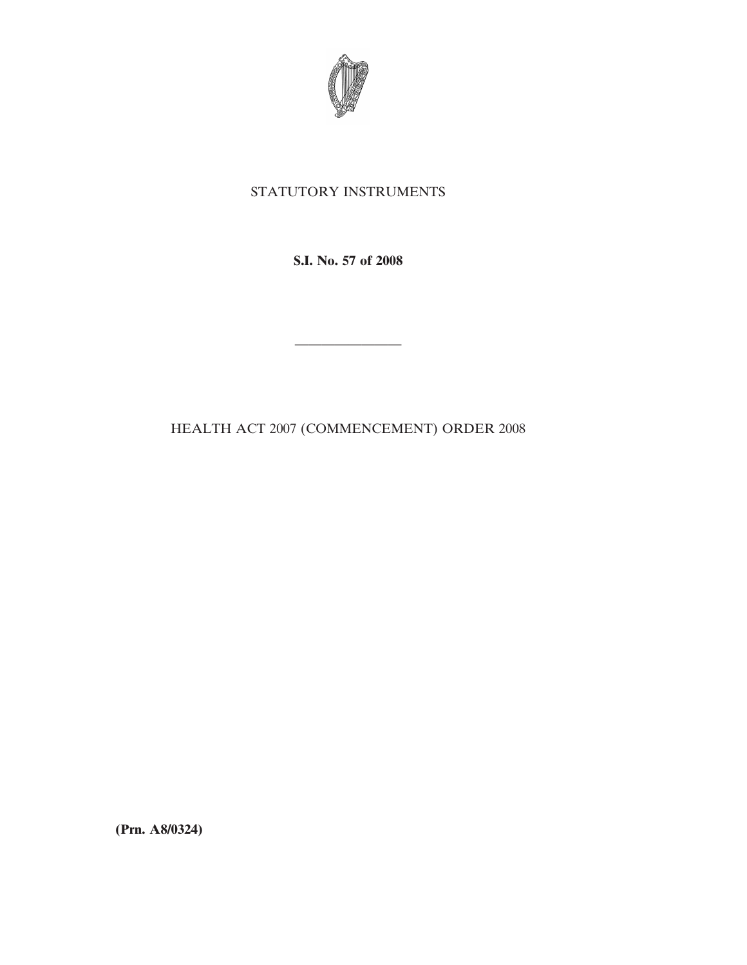

## STATUTORY INSTRUMENTS

**S.I. No. 57 of 2008**

————————

HEALTH ACT 2007 (COMMENCEMENT) ORDER 2008

**(Prn. A8/0324)**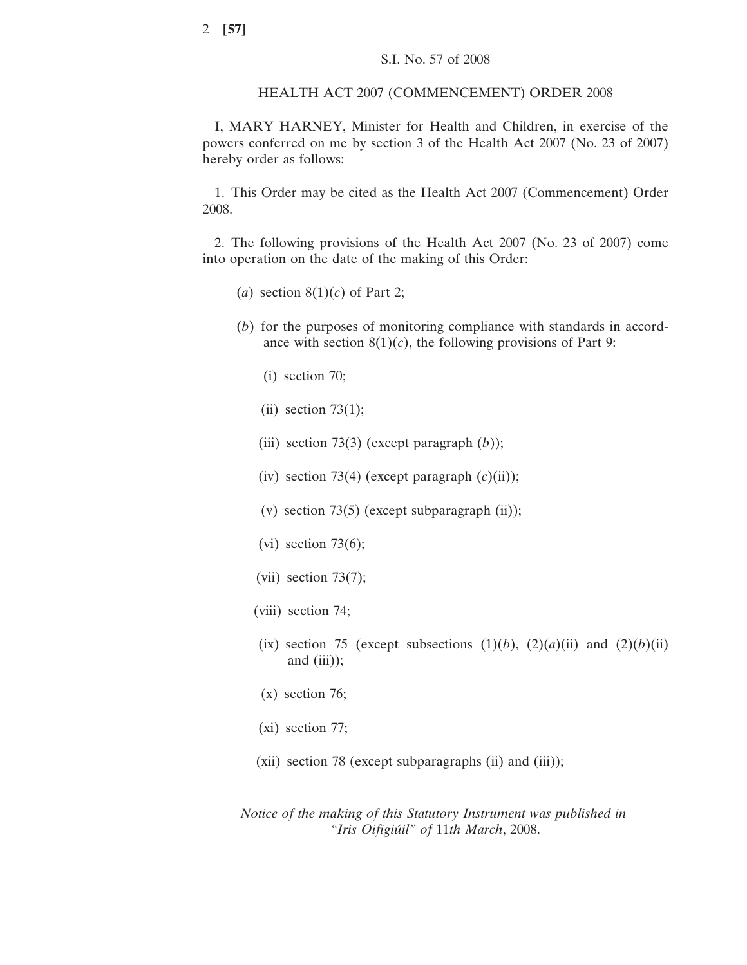## HEALTH ACT 2007 (COMMENCEMENT) ORDER 2008

I, MARY HARNEY, Minister for Health and Children, in exercise of the powers conferred on me by section 3 of the Health Act 2007 (No. 23 of 2007) hereby order as follows:

1. This Order may be cited as the Health Act 2007 (Commencement) Order 2008.

2. The following provisions of the Health Act 2007 (No. 23 of 2007) come into operation on the date of the making of this Order:

- (*a*) section  $8(1)(c)$  of Part 2;
- (*b*) for the purposes of monitoring compliance with standards in accordance with section  $8(1)(c)$ , the following provisions of Part 9:
	- (i) section 70;
	- (ii) section  $73(1)$ ;
	- (iii) section 73(3) (except paragraph (*b*));
	- (iv) section 73(4) (except paragraph  $(c)(ii)$ );
	- (v) section 73(5) (except subparagraph  $(ii)$ );
	- (vi) section  $73(6)$ ;
	- (vii) section  $73(7)$ ;
	- (viii) section 74;
	- (ix) section 75 (except subsections  $(1)(b)$ ,  $(2)(a)(ii)$  and  $(2)(b)(ii)$ and  $(iii)$ );
	- (x) section 76;
	- (xi) section 77;
	- (xii) section 78 (except subparagraphs (ii) and (iii));

*Notice of the making of this Statutory Instrument was published in "Iris Oifigiu´il" of* 11*th March*, 2008.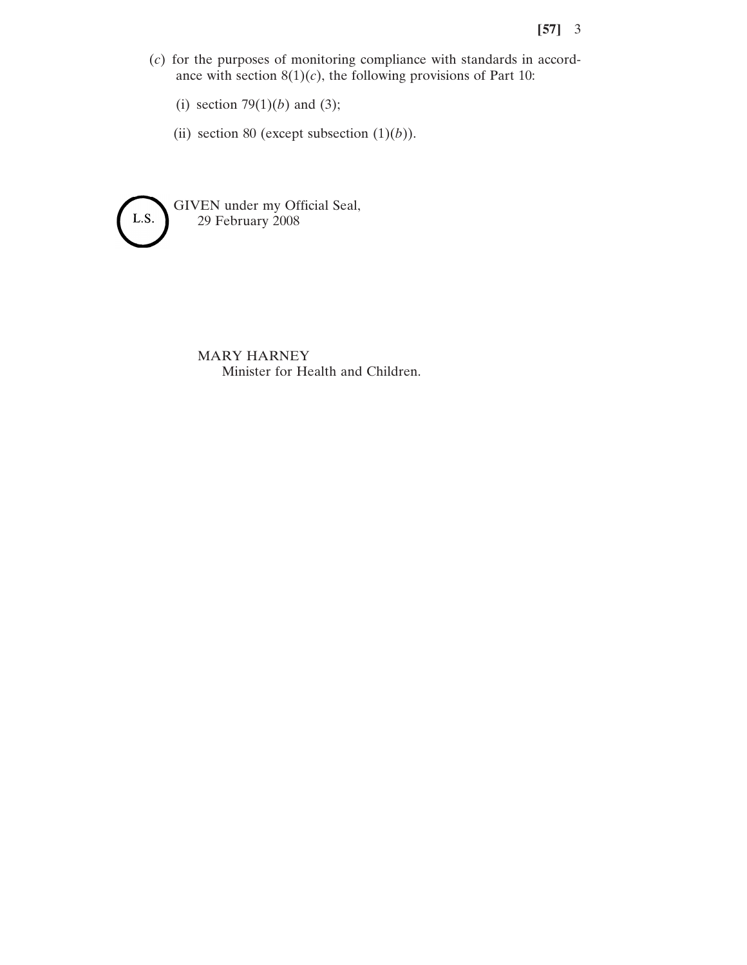- (*c*) for the purposes of monitoring compliance with standards in accordance with section  $8(1)(c)$ , the following provisions of Part 10:
	- (i) section  $79(1)(b)$  and (3);
	- (ii) section 80 (except subsection  $(1)(b)$ ).



MARY HARNEY Minister for Health and Children.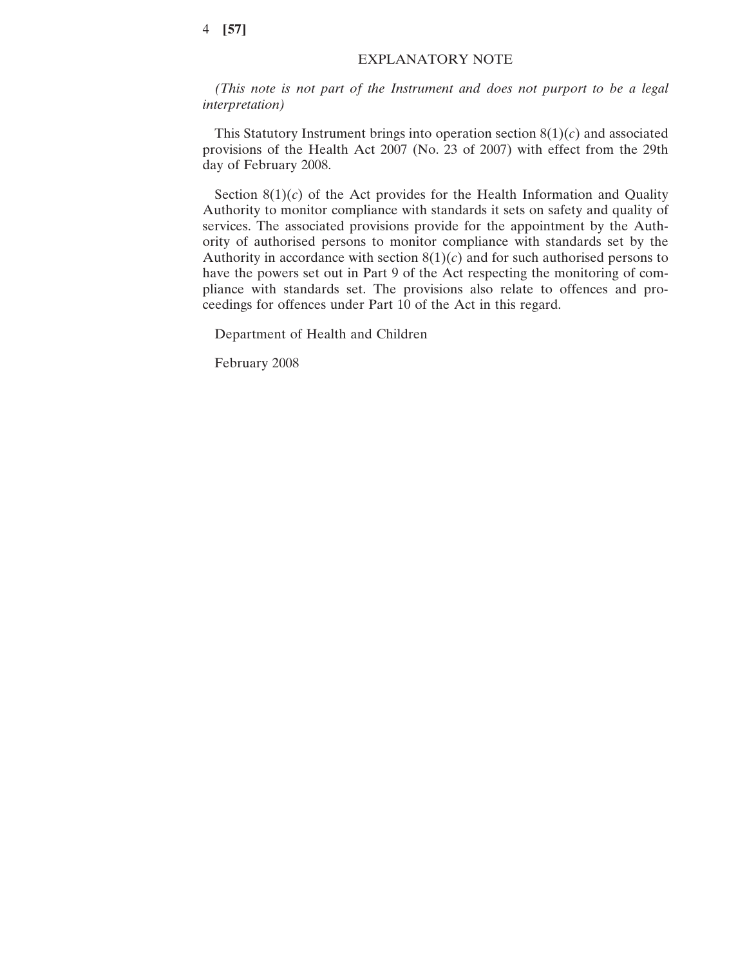## 4 **[57]**

## EXPLANATORY NOTE

*(This note is not part of the Instrument and does not purport to be a legal interpretation)*

This Statutory Instrument brings into operation section  $8(1)(c)$  and associated provisions of the Health Act 2007 (No. 23 of 2007) with effect from the 29th day of February 2008.

Section  $8(1)(c)$  of the Act provides for the Health Information and Quality Authority to monitor compliance with standards it sets on safety and quality of services. The associated provisions provide for the appointment by the Authority of authorised persons to monitor compliance with standards set by the Authority in accordance with section  $8(1)(c)$  and for such authorised persons to have the powers set out in Part 9 of the Act respecting the monitoring of compliance with standards set. The provisions also relate to offences and proceedings for offences under Part 10 of the Act in this regard.

Department of Health and Children

February 2008